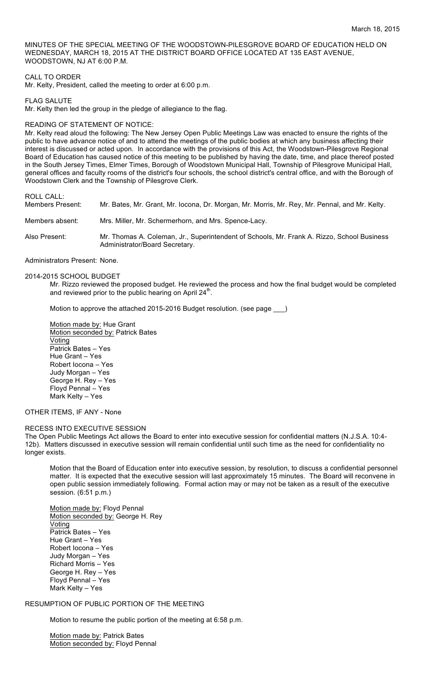MINUTES OF THE SPECIAL MEETING OF THE WOODSTOWN-PILESGROVE BOARD OF EDUCATION HELD ON WEDNESDAY, MARCH 18, 2015 AT THE DISTRICT BOARD OFFICE LOCATED AT 135 EAST AVENUE, WOODSTOWN, NJ AT 6:00 P.M.

## CALL TO ORDER

Mr. Kelty, President, called the meeting to order at 6:00 p.m.

FLAG SALUTE

Mr. Kelty then led the group in the pledge of allegiance to the flag.

### READING OF STATEMENT OF NOTICE:

Mr. Kelty read aloud the following: The New Jersey Open Public Meetings Law was enacted to ensure the rights of the public to have advance notice of and to attend the meetings of the public bodies at which any business affecting their interest is discussed or acted upon. In accordance with the provisions of this Act, the Woodstown-Pilesgrove Regional Board of Education has caused notice of this meeting to be published by having the date, time, and place thereof posted in the South Jersey Times, Elmer Times, Borough of Woodstown Municipal Hall, Township of Pilesgrove Municipal Hall, general offices and faculty rooms of the district's four schools, the school district's central office, and with the Borough of Woodstown Clerk and the Township of Pilesgrove Clerk.

ROLL CALL:

Members Present: Mr. Bates, Mr. Grant, Mr. Iocona, Dr. Morgan, Mr. Morris, Mr. Rey, Mr. Pennal, and Mr. Kelty.

Members absent: Mrs. Miller, Mr. Schermerhorn, and Mrs. Spence-Lacy.

Also Present: Mr. Thomas A. Coleman, Jr., Superintendent of Schools, Mr. Frank A. Rizzo, School Business Administrator/Board Secretary.

Administrators Present: None.

2014-2015 SCHOOL BUDGET

Mr. Rizzo reviewed the proposed budget. He reviewed the process and how the final budget would be completed and reviewed prior to the public hearing on April  $24<sup>th</sup>$ .

Motion to approve the attached 2015-2016 Budget resolution. (see page

Motion made by: Hue Grant Motion seconded by: Patrick Bates Voting Patrick Bates – Yes Hue Grant – Yes Robert Iocona – Yes Judy Morgan – Yes George H. Rey – Yes Floyd Pennal – Yes Mark Kelty – Yes

## OTHER ITEMS, IF ANY - None

#### RECESS INTO EXECUTIVE SESSION

The Open Public Meetings Act allows the Board to enter into executive session for confidential matters (N.J.S.A. 10:4- 12b). Matters discussed in executive session will remain confidential until such time as the need for confidentiality no longer exists.

Motion that the Board of Education enter into executive session, by resolution, to discuss a confidential personnel matter. It is expected that the executive session will last approximately 15 minutes. The Board will reconvene in open public session immediately following. Formal action may or may not be taken as a result of the executive session. (6:51 p.m.)

Motion made by: Floyd Pennal Motion seconded by: George H. Rey **Voting** Patrick Bates – Yes Hue Grant – Yes Robert Iocona – Yes Judy Morgan – Yes Richard Morris – Yes George H. Rey – Yes Floyd Pennal – Yes Mark Kelty – Yes

## RESUMPTION OF PUBLIC PORTION OF THE MEETING

Motion to resume the public portion of the meeting at 6:58 p.m.

Motion made by: Patrick Bates Motion seconded by: Floyd Pennal